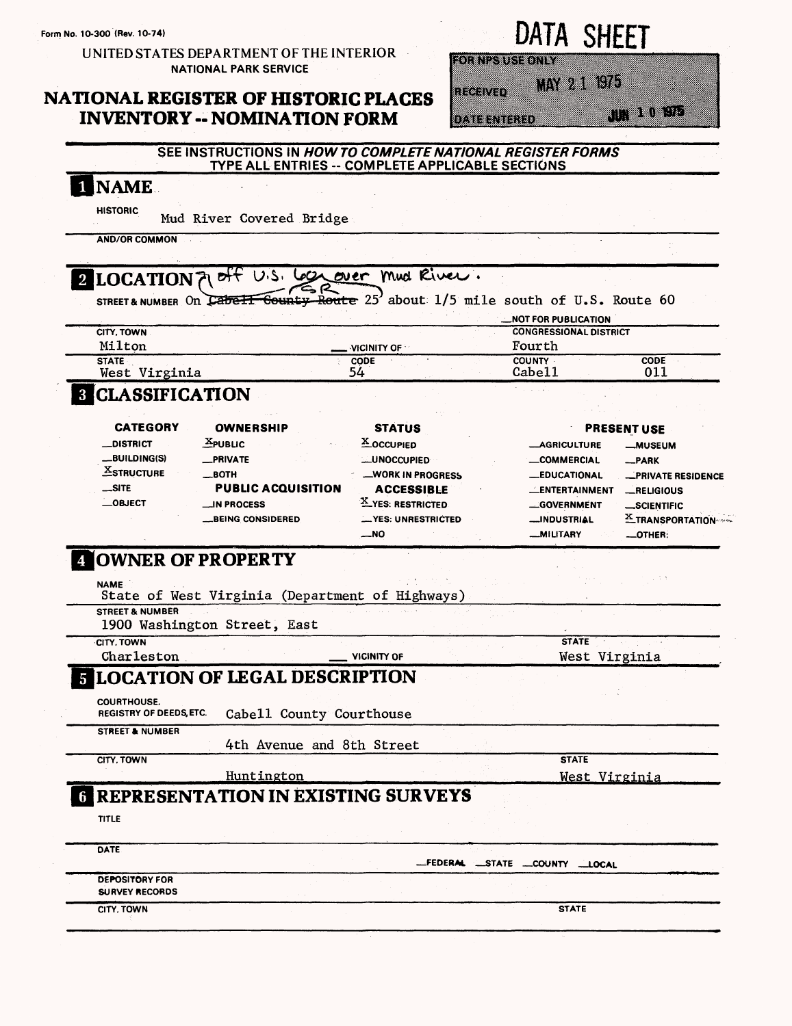### UNITED STATES DEPARTMENT OF THE INTERIOR NATIONAL PARK SERVICE

## **NATIONAL REGISTER OF HISTORIC PLAGES INVENTORY - NOMINATION FORM**

|  |  |  | DATA I |  | <b>SHEET</b> |  |
|--|--|--|--------|--|--------------|--|
|  |  |  |        |  |              |  |

MAY 21 1975 na ava

**DATE NIERD** 

muna

#### INAME **HISTORIC** Mud River Covered Bridge **ANO/OR COMMON**  $eff$  U.S. Local over Mud River. **2 LOCATION**  $\overline{\text{Count}}$  Route 25' about: 1/5 mile south of U.S. Route 60 STREET & NUMBER On Cabe !! **—NOT FOR PUBLICATION CITY. TOWN CONGRESSIONAL DISTRICT Milton Fourth \_\_ VICINITY OF CODE COUNTY CODE STATE West Virginia 54 Cabell Oil CLASSIFICATION**  $\mathbf{3}$ **CATEGORY OWNERSHIP STATUS PRESENT USE Ji-PUBLIC 5-OCCUPIED —DISTRICT — AGRICULTURE —MUSEUM —BUILDING(S) \_PRIVATE —UNOCCUPIED —COMMERCIAL —PARK ^STRUCTURE \_BOTH** —WORK IN PROGRESS **—EDUCATIONAL —PRIVATE RESIDENCE** —SITE **PUBLIC ACQUISITION ACCESSIBLE —ENTERTAINMENT —RELIGIOUS —OBJECT \_IN PROCESS 5.YES: RESTRICTED —GOVERNMENT —SCIENTIFIC \_BEING CONSIDERED \_YES: UNRESTRICTED —INDUSTRIAL 2 TRANSPORTATION\*\*\* —MILITARY —OTHER: —NO COWNER OF PROPERTY NAME** State of West Virginia (Department of Highways) **STREET & NUMBER** 1900 Washington Street, East **CITY. TOWN STATE** Charleston **VICINITY OF** West Virginia **ELOCATION OF LEGAL DESCRIPTION COURTHOUSE.** Cabell County Courthouse **STREET & NUMBER** 4th Avenue and 8th Street **CITY. TOWN STATE** Huntington West Virginia **REPRESENTATION IN EXISTING SURVEYS TITLE DATE —FEDERAt —STATE —COUNTY LOCAL DEPOSITORY FOR SURVEY RECORDS CITY. TOWN STATE**

**SEE INSTRUCTIONS IN HOWTO COMPLETE NATIONAL REGISTER FORMS TYPE ALL ENTRIES--COMPLETE APPLICABLE SECTIONS**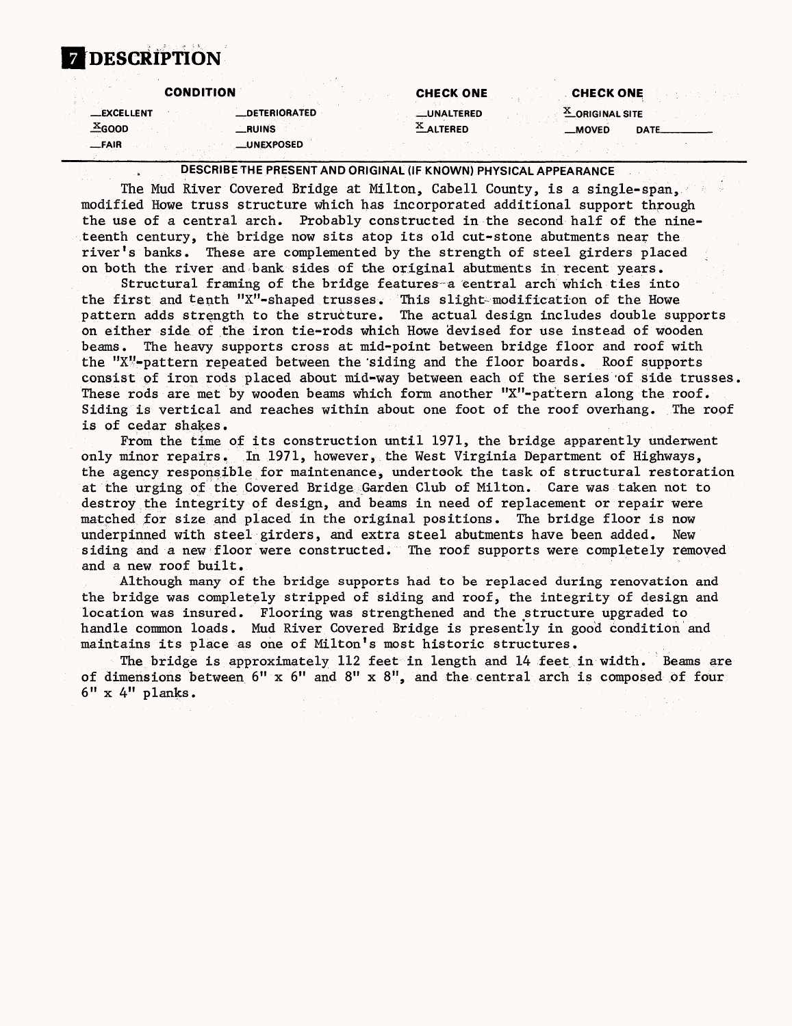# **7 DESCRIPTION**

|                                                 | <b>CONDITION</b>    | <b>CHECK ONE</b> | <b>CHECK ONE</b>       |  |
|-------------------------------------------------|---------------------|------------------|------------------------|--|
| <b>EXCELLENT</b>                                | <b>DETERIORATED</b> | __UNALTERED      | <b>X_ORIGINAL SITE</b> |  |
| $\underline{\textcolor{red}{\textbf{X}} }$ GOOD | <b>RUINS</b>        | AUTERED          | $-MOVED$<br>DATE.      |  |
| —FAIR                                           | __UNEXPOSED         |                  |                        |  |

DESCRIBE THE PRESENT AND ORIGINAL (IF KNOWN) PHYSICAL APPEARANCE

The Mud River Covered Bridge at Milton, Cabell County, is a single-span, modified Howe truss structure which has incorporated additional support through the use of a central arch. Probably constructed in the second half of the nineteenth century, the bridge now sits atop its old cut-stone abutments near the river's banks. These are complemented by the strength of steel girders placed on both the river and bank sides of the original abutments in recent years.

Structural framing of the bridge features a central arch which ties into the first and tenth "X"-shaped trusses. This slight-modification of the Howe pattern adds strength to the structure. The actual design includes double supports on either side of the iron tie-rods which Howe devised for use instead of wooden beams. The heavy supports cross at mid-point between bridge floor and roof with the "X"-pattern repeated between the'siding and the floor boards. Roof supports consist of iron rods placed about mid-way between each of the series 'of side trusses, These rods are met by wooden beams which form another " $X''$ -pattern along the roof. Siding is vertical and reaches within about one foot of the roof overhang. The roof is of cedar shakes.

From the time of its construction until 1971, the bridge apparently underwent only minor repairs. In 1971, however, the West Virginia Department of Highways, the agency responsible for maintenance, undertook the task of structural restoration at the urging of the Covered Bridge Garden Club of Milton. Care was taken not to destroy the integrity of design, and beams in need of replacement or repair were matched for size and placed in the original positions. The bridge floor is now underpinned with steel girders, and extra steel abutments have been added. New siding and a new floor were constructed. The roof supports were completely removed and a new roof built.

Although many of the bridge supports had to be replaced during renovation and the bridge was completely stripped of siding and roof, the integrity of design and location was insured. Flooring was strengthened and the astructure upgraded to handle common loads. Mud River Covered Bridge is presently in good condition and maintains its place as one of Milton's most historic structures.

The bridge is approximately 112 feet in length and 14 feet in width. Beams are of dimensions between  $6'' \times 6''$  and  $8'' \times 8''$ , and the central arch is composed of four 6" x 4" planks.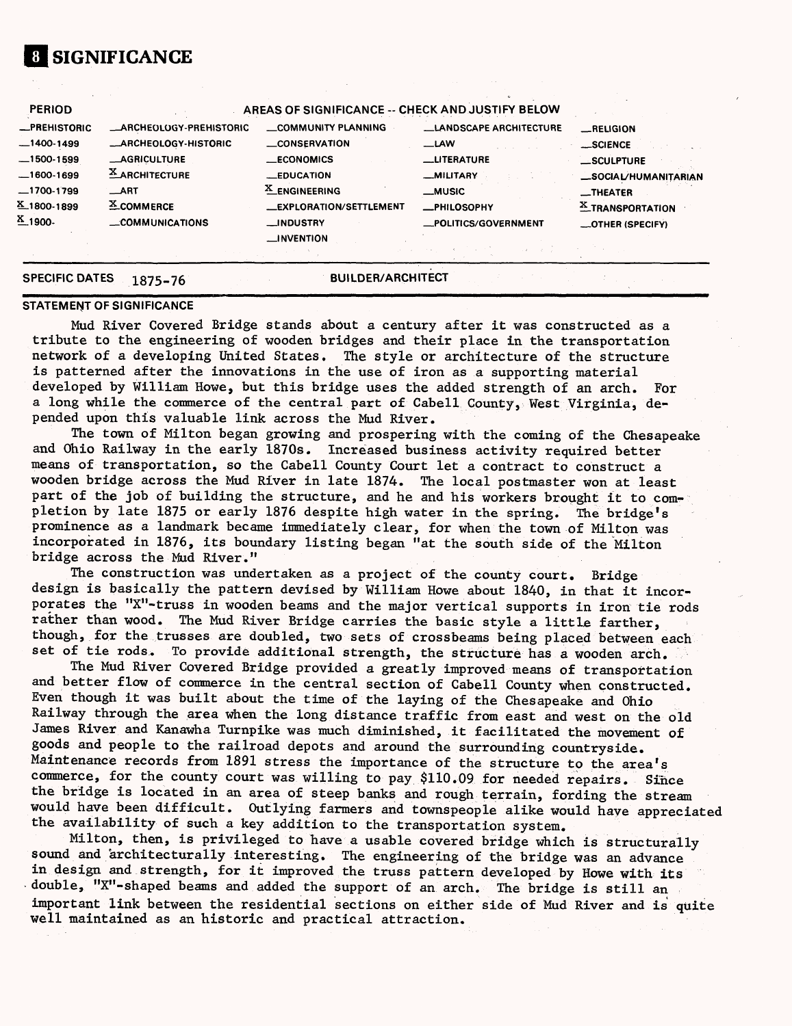## **El SIGNIFICANCE**

| $X.1800-1899$<br>$X_{1900}$ | $X$ COMMERCE<br>_COMMUNICATIONS | <b>LEXPLORATION/SETTLEMENT</b><br><b>__INDUSTRY</b><br>__INVENTION | -PHILOSOPHY<br>_POLITICS/GOVERNMENT | <b>X_TRANSPORTATION</b><br>_OTHER (SPECIFY) |
|-----------------------------|---------------------------------|--------------------------------------------------------------------|-------------------------------------|---------------------------------------------|
| $-1700 - 1799$              | $\_ART$                         | <b>X_ENGINEERING</b>                                               | $\equiv$ MUSIC                      | $\overline{\phantom{a}}$ THEATER            |
| $-1600-1699$                | $X$ ARCHITECTURE                | <b>EDUCATION</b>                                                   | _MILITARY                           | _SOCIAL/HUMANITARIAN                        |
| $-1500 - 1599$              | <b>__AGRICULTURE</b>            | <b>ECONOMICS</b>                                                   | <b>LITERATURE</b>                   | SCULPTURE                                   |
| $-1400-1499$                | __ARCHEOLOGY-HISTORIC           | <b>LONSERVATION</b>                                                | <b>LAW</b>                          | __SCIENCE                                   |
| <b>_PREHISTORIC</b>         | <b>_ARCHEOLOGY-PREHISTORIC</b>  | <b>COMMUNITY PLANNING</b>                                          | <b>LANDSCAPE ARCHITECTURE</b>       | _RELIGION                                   |
| <b>PERIOD</b>               |                                 | AREAS OF SIGNIFICANCE -- CHECK AND JUSTIFY BELOW                   |                                     |                                             |

# **SPECIFIC DATES 1875-76**

**BUILDER/ARCHITECT** 

#### **STATEMENT OF SIGNIFICANCE**

Mud River Covered Bridge stands about a century after it was constructed as a tribute to the engineering of wooden bridges and their place in the transportation network of a developing United States. The style or architecture of the structure is patterned after the innovations in the use of iron as a supporting material developed by William Howe, but this bridge uses the added strength of an arch. For a long while the commerce of the central part of Cabell County, West Virginia, depended upon this valuable link across the Mud River.

The town of Milton began growing and prospering with the coming of the Chesapeake and Ohio Railway in the early 1870s. Increased business activity required better means of transportation, so the Cabell County Court let a contract to construct a wooden bridge across the Mud River in late 1874. The local postmaster won at least part of the job of building the structure, and he and his workers brought it to completion by late 1875 or early 1876 despite high water in the spring. The bridge's prominence as a landmark became immediately clear, for when the town of Milton was incorporated in 1876, its boundary listing began "at the south side of the Milton bridge across the Mud River."

The construction was undertaken as a project of the county court. Bridge design is basically the pattern devised by William Howe about 1840, in that it incorporates the "X"-truss in wooden beams and the major vertical supports in iron tie rods rather than wood. The Mud River Bridge carries the basic style a little farther, though, for the trusses are doubled, two sets of crossbeams being placed between each set of tie rods. To provide additional strength, the structure has a wooden arch.

The Mud River Covered Bridge provided a greatly improved means of transportation and better flow of commerce in the central section of Cabell County when constructed. Even though it was built about the time of the laying of the Chesapeake and Ohio Railway through the area when the long distance traffic from east and west on the old James River and Kanawha Turnpike was much diminished, it facilitated the movement of goods and people to the railroad depots and around the surrounding countryside. Maintenance records from 1891 stress the importance of the structure to the area's commerce, for the county court was willing to pay \$110.09 for needed repairs. Since the bridge is located in an area of steep banks and rough terrain, fording the stream would have been difficult. Outlying farmers and townspeople alike would have appreciated the availability of such a key addition to the transportation system.

Milton, then, is privileged to have a usable covered bridge which is structurally sound and architecturally interesting. The engineering of the bridge was an advance in design and strength, for it improved the truss pattern developed by Howe with its double, "X"-shaped beams and added the support of an arch. The bridge is still an important link between the residential sections on either side of Mud River and is quite well maintained as an historic and practical attraction.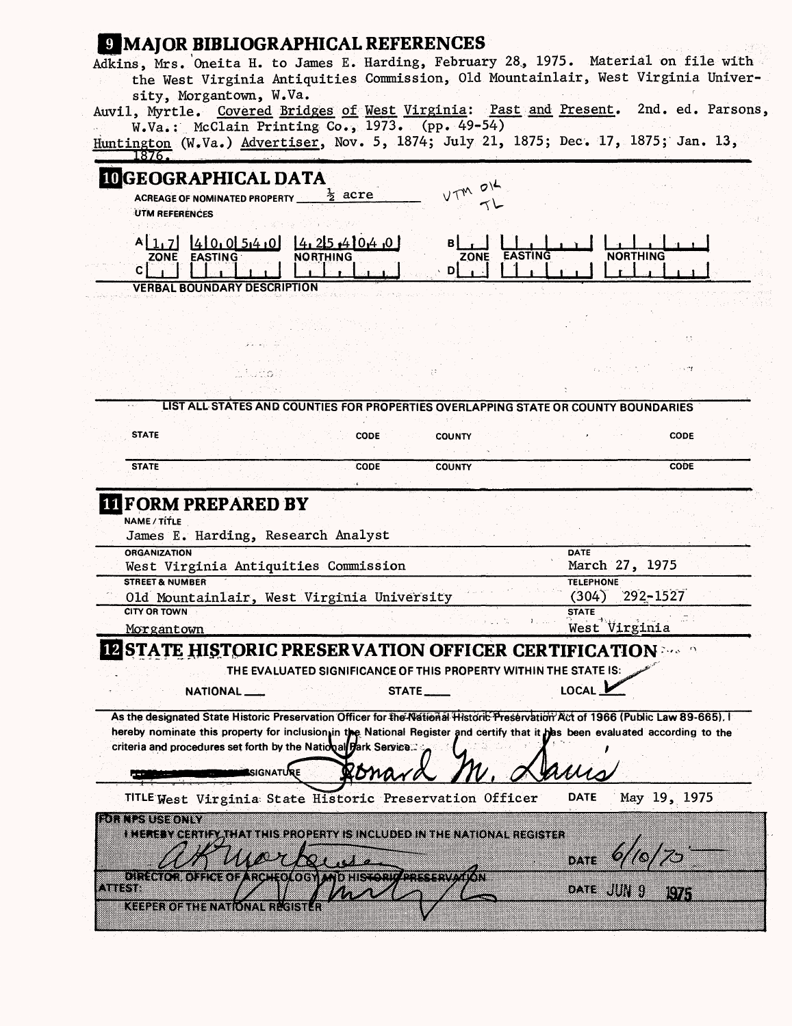| sity, Morgantown, W.Va.                                                                     |                                                                                                                                   | the West Virginia Antiquities Commission, Old Mountainlair, West Virginia Univer-<br>Auvil, Myrtle. Covered Bridges of West Virginia: Past and Present. 2nd. ed. Parsons,                                                                                     |
|---------------------------------------------------------------------------------------------|-----------------------------------------------------------------------------------------------------------------------------------|---------------------------------------------------------------------------------------------------------------------------------------------------------------------------------------------------------------------------------------------------------------|
| L876.                                                                                       | W.Va.: McClain Printing Co., 1973. (pp. 49-54)                                                                                    | Huntington (W.Va.) Advertiser, Nov. 5, 1874; July 21, 1875; Dec. 17, 1875; Jan. 13,                                                                                                                                                                           |
| <b>IDGEOGRAPHICAL DATA</b><br><b>ACREAGE OF NOMINATED PROPERTY</b><br><b>UTM REFERENCES</b> | $VTM$ $OK$<br>ぇ acre                                                                                                              |                                                                                                                                                                                                                                                               |
| [4]0,0]54,0]<br>ZONE EASTING<br>C.                                                          | 4,25,410,4,0<br><b>NORTHING</b><br><b>ZONE</b><br>D                                                                               | <b>EASTING</b><br><b>NORTHING</b>                                                                                                                                                                                                                             |
| <b>VERBAL BOUNDARY DESCRIPTION</b>                                                          |                                                                                                                                   |                                                                                                                                                                                                                                                               |
|                                                                                             |                                                                                                                                   |                                                                                                                                                                                                                                                               |
|                                                                                             |                                                                                                                                   |                                                                                                                                                                                                                                                               |
|                                                                                             |                                                                                                                                   |                                                                                                                                                                                                                                                               |
|                                                                                             |                                                                                                                                   | LIST ALL STATES AND COUNTIES FOR PROPERTIES OVERLAPPING STATE OR COUNTY BOUNDARIES                                                                                                                                                                            |
| <b>STATE</b>                                                                                | <b>CODE</b><br><b>COUNTY</b>                                                                                                      | <b>CODE</b>                                                                                                                                                                                                                                                   |
| <b>STATE</b>                                                                                | CODE<br><b>COUNTY</b>                                                                                                             | <b>CODE</b>                                                                                                                                                                                                                                                   |
| <b>LIFORM PREPARED BY</b><br>NAME / TITLE<br>James E. Harding, Research Analyst             |                                                                                                                                   |                                                                                                                                                                                                                                                               |
|                                                                                             |                                                                                                                                   |                                                                                                                                                                                                                                                               |
| <b>ORGANIZATION</b>                                                                         |                                                                                                                                   | <b>DATE</b>                                                                                                                                                                                                                                                   |
| West Virginia Antiquities Commission<br><b>STREET &amp; NUMBER</b>                          |                                                                                                                                   | March 27, 1975<br><b>TELEPHONE</b>                                                                                                                                                                                                                            |
|                                                                                             | Old Mountainlair, West Virginia University                                                                                        | $(304)$ 292-1527                                                                                                                                                                                                                                              |
| <b>CITY OR TOWN</b>                                                                         |                                                                                                                                   | <b>STATE</b>                                                                                                                                                                                                                                                  |
| Morgantown                                                                                  |                                                                                                                                   | West Virginia                                                                                                                                                                                                                                                 |
|                                                                                             | THE EVALUATED SIGNIFICANCE OF THIS PROPERTY WITHIN THE STATE IS:                                                                  | <b>IZ STATE HISTORIC PRESERVATION OFFICER CERTIFICATION and the fi</b>                                                                                                                                                                                        |
| NATIONAL                                                                                    | STATE___                                                                                                                          | LOCAL 1                                                                                                                                                                                                                                                       |
| criteria and procedures set forth by the National Hark Service.                             | <b>SIGNATURE</b><br>хопа                                                                                                          | As the designated State Historic Preservation Officer for the National Historic Preservation Act of 1966 (Public Law 89-665).<br>hereby nominate this property for inclusion in the National Register and certify that it has been evaluated according to the |
|                                                                                             |                                                                                                                                   | <b>DATE</b>                                                                                                                                                                                                                                                   |
| rattu turki ta Ten                                                                          | TITLE West Virginia State Historic Preservation Officer<br>i meterkeerit vati artiisekooderi sistä olideo inimeilen karaines sier | May 19, 1975                                                                                                                                                                                                                                                  |
|                                                                                             |                                                                                                                                   | m                                                                                                                                                                                                                                                             |
| ativa                                                                                       | OREGTOR OFFICI OF ARCHIOLOGY AND HIS CHICAPTERS PARTON                                                                            | 833<br>IV.                                                                                                                                                                                                                                                    |